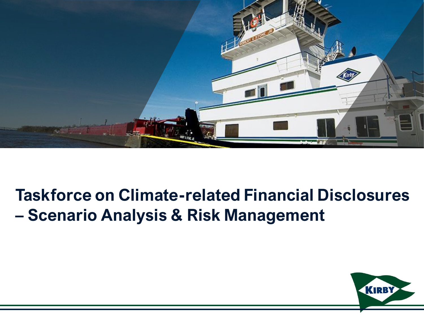

# **Taskforce on Climate-related Financial Disclosures – Scenario Analysis & Risk Management**

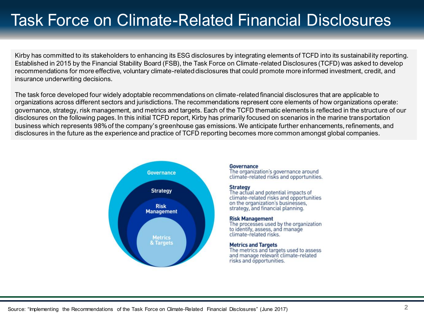# Task Force on Climate-Related Financial Disclosures

Kirby has committed to its stakeholders to enhancing its ESG disclosures by integrating elements of TCFD into its sustainability reporting. Established in 2015 by the Financial Stability Board (FSB), the Task Force on Climate-related Disclosures (TCFD) was asked to develop recommendations for more effective, voluntary climate-related disclosures that could promote more informed investment, credit, and insurance underwriting decisions.

The task force developed four widely adoptable recommendations on climate-related financial disclosures that are applicable to organizations across different sectors and jurisdictions. The recommendations represent core elements of how organizations operate: governance, strategy, risk management, and metrics and targets. Each of the TCFD thematic elements is reflected in the structure of our disclosures on the following pages. In this initial TCFD report, Kirby has primarily focused on scenarios in the marine transportation business which represents 98% of the company's greenhouse gas emissions. We anticipate further enhancements, refinements, and disclosures in the future as the experience and practice of TCFD reporting becomes more common amongst global companies.



#### **Governance**

The organization's governance around climate-related risks and opportunities.

#### **Strategy**

The actual and potential impacts of climate-related risks and opportunities on the organization's businesses. strategy, and financial planning.

#### **Risk Management**

The processes used by the organization to identify, assess, and manage climate-related risks.

#### **Metrics and Targets**

The metrics and targets used to assess and manage relevant climate-related risks and opportunities.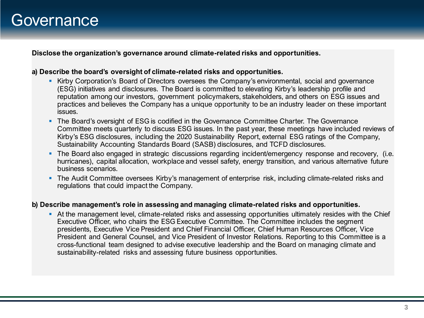### **Governance**

**Disclose the organization's governance around climate-related risks and opportunities.**

#### **a) Describe the board's oversight of climate-related risks and opportunities.**

- Kirby Corporation's Board of Directors oversees the Company's environmental, social and governance (ESG) initiatives and disclosures. The Board is committed to elevating Kirby's leadership profile and reputation among our investors, government policymakers, stakeholders, and others on ESG issues and practices and believes the Company has a unique opportunity to be an industry leader on these important issues.
- **The Board's oversight of ESG is codified in the Governance Committee Charter. The Governance** Committee meets quarterly to discuss ESG issues. In the past year, these meetings have included reviews of Kirby's ESG disclosures, including the 2020 Sustainability Report, external ESG ratings of the Company, Sustainability Accounting Standards Board (SASB) disclosures, and TCFD disclosures.
- **The Board also engaged in strategic discussions regarding incident/emergency response and recovery, (i.e.** hurricanes), capital allocation, workplace and vessel safety, energy transition, and various alternative future business scenarios.
- **The Audit Committee oversees Kirby's management of enterprise risk, including climate-related risks and** regulations that could impact the Company.

#### **b) Describe management's role in assessing and managing climate-related risks and opportunities.**

■ At the management level, climate-related risks and assessing opportunities ultimately resides with the Chief Executive Officer, who chairs the ESG Executive Committee. The Committee includes the segment presidents, Executive Vice President and Chief Financial Officer, Chief Human Resources Officer, Vice President and General Counsel, and Vice President of Investor Relations. Reporting to this Committee is a cross-functional team designed to advise executive leadership and the Board on managing climate and sustainability-related risks and assessing future business opportunities.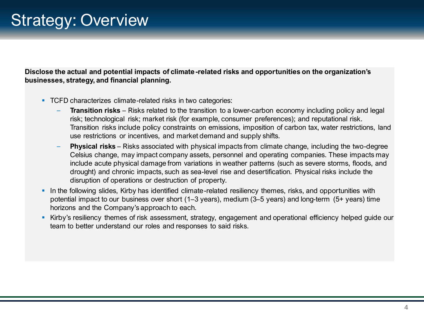### Strategy: Overview

**Disclose the actual and potential impacts of climate-related risks and opportunities on the organization's businesses, strategy, and financial planning.**

- TCFD characterizes climate-related risks in two categories:
	- **Transition risks** Risks related to the transition to a lower-carbon economy including policy and legal risk; technological risk; market risk (for example, consumer preferences); and reputational risk. Transition risks include policy constraints on emissions, imposition of carbon tax, water restrictions, land use restrictions or incentives, and market demand and supply shifts.
	- **Physical risks**  Risks associated with physical impacts from climate change, including the two-degree Celsius change, may impact company assets, personnel and operating companies. These impacts may include acute physical damage from variations in weather patterns (such as severe storms, floods, and drought) and chronic impacts, such as sea-level rise and desertification. Physical risks include the disruption of operations or destruction of property.
- **•** In the following slides, Kirby has identified climate-related resiliency themes, risks, and opportunities with potential impact to our business over short (1–3 years), medium (3–5 years) and long-term (5+ years) time horizons and the Company's approach to each.
- **EXICTS** Kirby's resiliency themes of risk assessment, strategy, engagement and operational efficiency helped guide our team to better understand our roles and responses to said risks.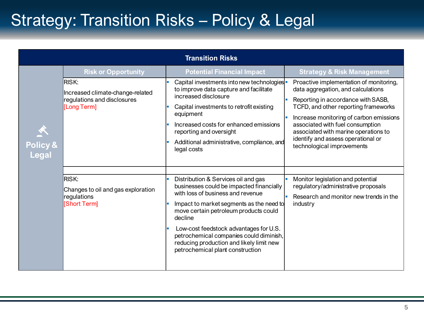# Strategy: Transition Risks – Policy & Legal

| <b>Transition Risks</b>       |                                                                                                 |                                                                                                                                                                                                                                                                                                                                                                                           |                                                                                                                                                                                                                                                                                                                                                        |  |  |
|-------------------------------|-------------------------------------------------------------------------------------------------|-------------------------------------------------------------------------------------------------------------------------------------------------------------------------------------------------------------------------------------------------------------------------------------------------------------------------------------------------------------------------------------------|--------------------------------------------------------------------------------------------------------------------------------------------------------------------------------------------------------------------------------------------------------------------------------------------------------------------------------------------------------|--|--|
|                               | <b>Risk or Opportunity</b>                                                                      | <b>Potential Financial Impact</b>                                                                                                                                                                                                                                                                                                                                                         | <b>Strategy &amp; Risk Management</b>                                                                                                                                                                                                                                                                                                                  |  |  |
| 人<br>Policy &<br><b>Legal</b> | <b>IRISK:</b><br>Increased climate-change-related<br>regulations and disclosures<br>[Long Term] | Capital investments into new technologies -<br>to improve data capture and facilitate<br>increased disclosure<br>Capital investments to retrofit existing<br>equipment<br>Increased costs for enhanced emissions<br>reporting and oversight<br>Additional administrative, compliance, and<br>legal costs                                                                                  | Proactive implementation of monitoring,<br>data aggregation, and calculations<br>Reporting in accordance with SASB,<br>TCFD, and other reporting frameworks<br>Increase monitoring of carbon emissions<br>associated with fuel consumption<br>associated with marine operations to<br>identify and assess operational or<br>technological improvements |  |  |
|                               |                                                                                                 |                                                                                                                                                                                                                                                                                                                                                                                           |                                                                                                                                                                                                                                                                                                                                                        |  |  |
|                               | RISK:<br>Changes to oil and gas exploration<br>regulations<br>[Short Term]                      | Distribution & Services oil and gas<br>businesses could be impacted financially<br>with loss of business and revenue<br>Impact to market segments as the need to<br>move certain petroleum products could<br>decline<br>Low-cost feedstock advantages for U.S.<br>petrochemical companies could diminish,<br>reducing production and likely limit new<br>petrochemical plant construction | Monitor legislation and potential<br>regulatory/administrative proposals<br>Research and monitor new trends in the<br>industry                                                                                                                                                                                                                         |  |  |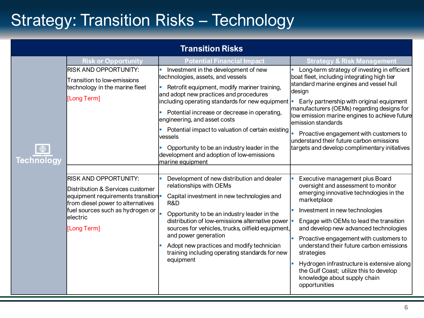# Strategy: Transition Risks – Technology

| <b>Transition Risks</b>          |                                                                                                                                                                                                             |                                                                                                                                                                                                                                                                                                                                                                                                                                                                      |                                                                                                                                                                                                                                                                                                                                                                                                                                                                                                      |  |  |
|----------------------------------|-------------------------------------------------------------------------------------------------------------------------------------------------------------------------------------------------------------|----------------------------------------------------------------------------------------------------------------------------------------------------------------------------------------------------------------------------------------------------------------------------------------------------------------------------------------------------------------------------------------------------------------------------------------------------------------------|------------------------------------------------------------------------------------------------------------------------------------------------------------------------------------------------------------------------------------------------------------------------------------------------------------------------------------------------------------------------------------------------------------------------------------------------------------------------------------------------------|--|--|
|                                  | <b>Risk or Opportunity</b>                                                                                                                                                                                  | <b>Potential Financial Impact</b>                                                                                                                                                                                                                                                                                                                                                                                                                                    | <b>Strategy &amp; Risk Management</b>                                                                                                                                                                                                                                                                                                                                                                                                                                                                |  |  |
| $\bigoplus$<br><b>Technology</b> | <b>RISK AND OPPORTUNITY:</b><br>Transition to low-emissions<br>technology in the marine fleet<br>[Long Term]                                                                                                | Investment in the development of new<br>technologies, assets, and vessels<br>Retrofit equipment, modify mariner training,<br>and adopt new practices and procedures<br>including operating standards for new equipment  <br>Potential increase or decrease in operating,<br>engineering, and asset costs<br>Potential impact to valuation of certain existing<br>vessels<br>Opportunity to be an industry leader in the<br>development and adoption of low-emissions | Long-term strategy of investing in efficient<br>boat fleet, including integrating high tier<br>standard marine engines and vessel hull<br>design<br>Early partnership with original equipment<br>manufacturers (OEMs) regarding designs for<br>low emission marine engines to achieve future<br>emission standards<br>Proactive engagement with customers to<br>understand their future carbon emissions<br>targets and develop complimentary initiatives                                            |  |  |
|                                  | <b>RISK AND OPPORTUNITY:</b><br>Distribution & Services customer<br>equipment requirements transition-<br>from diesel power to alternatives<br>fuel sources such as hydrogen or<br>lelectric<br>[Long Term] | marine equipment<br>Development of new distribution and dealer<br>relationships with OEMs<br>Capital investment in new technologies and<br>R&D<br>Opportunity to be an industry leader in the<br>distribution of low-emissions alternative power<br>sources for vehicles, trucks, oilfield equipment,<br>and power generation<br>Adopt new practices and modify technician<br>training including operating standards for new<br>equipment                            | Executive management plus Board<br>oversight and assessment to monitor<br>emerging innovative technologies in the<br>marketplace<br>Investment in new technologies<br>Engage with OEMs to lead the transition<br>and develop new advanced technologies<br>Proactive engagement with customers to<br>understand their future carbon emissions<br>strategies<br>Hydrogen infrastructure is extensive along<br>the Gulf Coast; utilize this to develop<br>knowledge about supply chain<br>opportunities |  |  |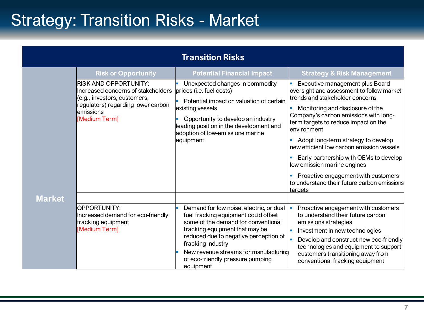# Strategy: Transition Risks - Market

|               |                                                                                                                                                                         | <b>Transition Risks</b>                                                                                                                                                                                                                                                                                          |                                                                                                                                                                                                                                                                                                                                                                                                                                                                                                                    |
|---------------|-------------------------------------------------------------------------------------------------------------------------------------------------------------------------|------------------------------------------------------------------------------------------------------------------------------------------------------------------------------------------------------------------------------------------------------------------------------------------------------------------|--------------------------------------------------------------------------------------------------------------------------------------------------------------------------------------------------------------------------------------------------------------------------------------------------------------------------------------------------------------------------------------------------------------------------------------------------------------------------------------------------------------------|
|               | <b>Risk or Opportunity</b>                                                                                                                                              | <b>Potential Financial Impact</b>                                                                                                                                                                                                                                                                                | <b>Strategy &amp; Risk Management</b>                                                                                                                                                                                                                                                                                                                                                                                                                                                                              |
|               | <b>RISK AND OPPORTUNITY:</b><br>Increased concerns of stakeholders<br>(e.g., investors, customers,<br>regulators) regarding lower carbon<br>lemissions<br>[Medium Term] | Unexpected changes in commodity<br>prices (i.e. fuel costs)<br>Potential impact on valuation of certain<br>existing vessels<br>Opportunity to develop an industry<br>leading position in the development and<br>adoption of low-emissions marine<br>equipment                                                    | Executive management plus Board<br>oversight and assessment to follow market<br>trends and stakeholder concerns<br>Monitoring and disclosure of the<br>Company's carbon emissions with long-<br>term targets to reduce impact on the<br>lenvironment<br>Adopt long-term strategy to develop<br>new efficient low carbon emission vessels<br>Early partnership with OEMs to develop<br>low emission marine engines<br>Proactive engagement with customers<br>to understand their future carbon emissions<br>targets |
| <b>Market</b> | OPPORTUNITY:<br>Increased demand for eco-friendly<br>fracking equipment<br>[Medium Term]                                                                                | Demand for low noise, electric, or dual<br>fuel fracking equipment could offset<br>some of the demand for conventional<br>fracking equipment that may be<br>reduced due to negative perception of<br>fracking industry<br>New revenue streams for manufacturing<br>of eco-friendly pressure pumping<br>equipment | Proactive engagement with customers<br>to understand their future carbon<br>emissions strategies<br>Investment in new technologies<br>Develop and construct new eco-friendly<br>technologies and equipment to support<br>customers transitioning away from<br>conventional fracking equipment                                                                                                                                                                                                                      |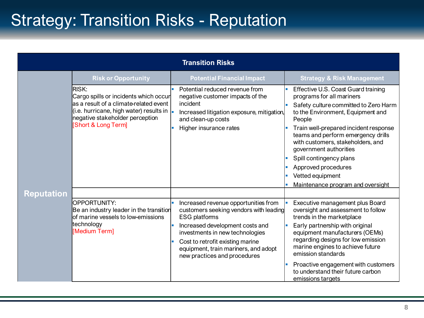# Strategy: Transition Risks - Reputation

| <b>Transition Risks</b> |                                                                                                                                                                                                                |                                                                                                                                                                                                                                                                                                            |                                                                                                                                                                                                                                                                                                                                                                                                                   |  |  |
|-------------------------|----------------------------------------------------------------------------------------------------------------------------------------------------------------------------------------------------------------|------------------------------------------------------------------------------------------------------------------------------------------------------------------------------------------------------------------------------------------------------------------------------------------------------------|-------------------------------------------------------------------------------------------------------------------------------------------------------------------------------------------------------------------------------------------------------------------------------------------------------------------------------------------------------------------------------------------------------------------|--|--|
|                         | <b>Risk or Opportunity</b>                                                                                                                                                                                     | <b>Potential Financial Impact</b>                                                                                                                                                                                                                                                                          | <b>Strategy &amp; Risk Management</b>                                                                                                                                                                                                                                                                                                                                                                             |  |  |
|                         | <b>RISK:</b><br>Cargo spills or incidents which occur<br>as a result of a climate-related event<br>(i.e. hurricane, high water) results in $\vert$ .<br>negative stakeholder perception<br>[Short & Long Term] | Potential reduced revenue from<br>negative customer impacts of the<br>incident<br>Increased litigation exposure, mitigation,<br>and clean-up costs<br>Higher insurance rates<br>п                                                                                                                          | Effective U.S. Coast Guard training<br>programs for all mariners<br>Safety culture committed to Zero Harm<br>to the Environment, Equipment and<br>People<br>Train well-prepared incident response<br>teams and perform emergency drills<br>with customers, stakeholders, and<br>government authorities<br>Spill contingency plans<br>Approved procedures<br>Vetted equipment<br>Maintenance program and oversight |  |  |
| <b>Reputation</b>       |                                                                                                                                                                                                                |                                                                                                                                                                                                                                                                                                            |                                                                                                                                                                                                                                                                                                                                                                                                                   |  |  |
|                         | OPPORTUNITY:<br>Be an industry leader in the transition<br>lof marine vessels to low-emissions<br>technology<br>[Medium Term]                                                                                  | Increased revenue opportunities from<br>customers seeking vendors with leading<br><b>ESG platforms</b><br>Increased development costs and<br>$\blacksquare$<br>investments in new technologies<br>Cost to retrofit existing marine<br>equipment, train mariners, and adopt<br>new practices and procedures | Executive management plus Board<br>oversight and assessment to follow<br>trends in the marketplace<br>Early partnership with original<br>equipment manufacturers (OEMs)<br>regarding designs for low emission<br>marine engines to achieve future<br>emission standards<br>Proactive engagement with customers<br>to understand their future carbon<br>emissions targets                                          |  |  |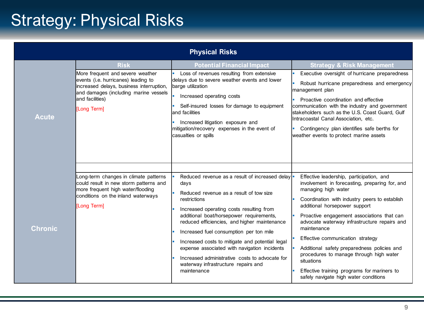# Strategy: Physical Risks

| <b>Physical Risks</b> |                                                                                                                                                                                                               |                                                                                                                                                                                                                                                                                                                                                                                                                                                                                                                   |                                                                                                                                                                                                                                                                                                                                                                                                                                                                                                                                                      |  |  |
|-----------------------|---------------------------------------------------------------------------------------------------------------------------------------------------------------------------------------------------------------|-------------------------------------------------------------------------------------------------------------------------------------------------------------------------------------------------------------------------------------------------------------------------------------------------------------------------------------------------------------------------------------------------------------------------------------------------------------------------------------------------------------------|------------------------------------------------------------------------------------------------------------------------------------------------------------------------------------------------------------------------------------------------------------------------------------------------------------------------------------------------------------------------------------------------------------------------------------------------------------------------------------------------------------------------------------------------------|--|--|
|                       | <b>Risk</b><br>More frequent and severe weather<br>events (i.e. hurricanes) leading to<br>increased delays, business interruption,<br>and damages (including marine vessels<br>and facilities)<br>[Long Term] | <b>Potential Financial Impact</b><br>Loss of revenues resulting from extensive<br>delays due to severe weather events and lower<br>barge utilization<br>Increased operating costs<br>Self-insured losses for damage to equipment<br>and facilities                                                                                                                                                                                                                                                                | <b>Strategy &amp; Risk Management</b><br>Executive oversight of hurricane preparedness<br>Robust hurricane preparedness and emergency<br>management plan<br>Proactive coordination and effective<br>communication with the industry and government<br>stakeholders such as the U.S. Coast Guard, Gulf                                                                                                                                                                                                                                                |  |  |
| <b>Acute</b>          |                                                                                                                                                                                                               | Increased litigation exposure and<br>mitigation/recovery expenses in the event of<br>casualties or spills                                                                                                                                                                                                                                                                                                                                                                                                         | Intracoastal Canal Association, etc.<br>Contingency plan identifies safe berths for<br>weather events to protect marine assets                                                                                                                                                                                                                                                                                                                                                                                                                       |  |  |
| <b>Chronic</b>        | Long-term changes in climate patterns<br>could result in new storm patterns and<br>more frequent high water/flooding<br>conditions on the inland waterways<br>[Long Term]                                     | Reduced revenue as a result of increased delay -<br>days<br>Reduced revenue as a result of tow size<br>restrictions<br>Increased operating costs resulting from<br>additional boat/horsepower requirements,<br>reduced efficiencies, and higher maintenance<br>Increased fuel consumption per ton mile<br>Increased costs to mitigate and potential legal<br>expense associated with navigation incidents<br>Increased administrative costs to advocate for<br>waterway infrastructure repairs and<br>maintenance | Effective leadership, participation, and<br>involvement in forecasting, preparing for, and<br>managing high water<br>Coordination with industry peers to establish<br>additional horsepower support<br>Proactive engagement associations that can<br>advocate waterway infrastructure repairs and<br>maintenance<br>Effective communication strategy<br>Additional safety preparedness policies and<br>procedures to manage through high water<br>situations<br>Effective training programs for mariners to<br>safely navigate high water conditions |  |  |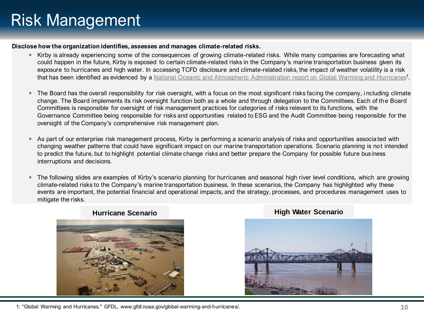# Risk Management

#### **Disclose how the organization identifies, assesses and manages climate-related risks.**

- Kirby is already experiencing some of the consequences of growing climate-related risks. While many companies are forecasting what could happen in the future, Kirby is exposed to certain climate-related risks in the Company's marine transportation business given its exposure to hurricanes and high water. In accessing TCFD disclosure and climate-related risks, the impact of weather volatility is a risk that has been identified as evidenced by a [National Oceanic and Atmospheric Administration report on Global Warming and Hurricanes](http://www.gfdl.noaa.gov/global-warming-and-hurricanes)<sup>1</sup>.
- The Board has the overall responsibility for risk oversight, with a focus on the most significant risks facing the company, i ncluding climate change. The Board implements its risk oversight function both as a whole and through delegation to the Committees. Each of the Board Committees is responsible for oversight of risk management practices for categories of risks relevant to its functions, with the Governance Committee being responsible for risks and opportunities related to ESG and the Audit Committee being responsible for the oversight of the Company's comprehensive risk management plan.
- As part of our enterprise risk management process, Kirby is performing a scenario analysis of risks and opportunities associated with changing weather patterns that could have significant impact on our marine transportation operations. Scenario planning is not intended to predict the future, but to highlight potential climate change risks and better prepare the Company for possible future business interruptions and decisions.
- The following slides are examples of Kirby's scenario planning for hurricanes and seasonal high river level conditions, which are growing climate-related risks to the Company's marine transportation business. In these scenarios, the Company has highlighted why these events are important, the potential financial and operational impacts, and the strategy, processes, and procedures management uses to mitigate the risks.



### **Hurricane Scenario High Water Scenario**

#### 1: "Global Warming and Hurricanes." GFDL, www.gfdl.noaa.gov/global-warming-and-hurricanes/.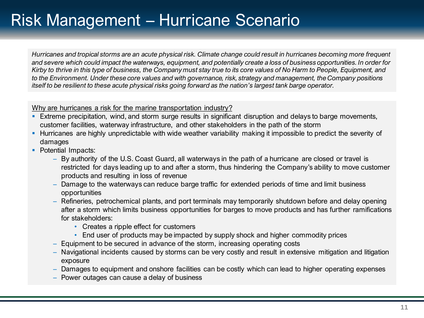*Hurricanes and tropical storms are an acute physical risk. Climate change could result in hurricanes becoming more frequent and severe which could impact the waterways, equipment, and potentially create a loss of business opportunities. In order for Kirby to thrive in this type of business, the Company must stay true to its core values of No Harm to People, Equipment, and to the Environment. Under these core values and with governance, risk, strategy and management, the Company positions itself to be resilient to these acute physical risks going forward as the nation's largest tank barge operator.* 

### Why are hurricanes a risk for the marine transportation industry?

- **Extreme precipitation, wind, and storm surge results in significant disruption and delays to barge movements,** customer facilities, waterway infrastructure, and other stakeholders in the path of the storm
- Hurricanes are highly unpredictable with wide weather variability making it impossible to predict the severity of damages
- Potential Impacts:
	- By authority of the U.S. Coast Guard, all waterways in the path of a hurricane are closed or travel is restricted for days leading up to and after a storm, thus hindering the Company's ability to move customer products and resulting in loss of revenue
	- Damage to the waterways can reduce barge traffic for extended periods of time and limit business opportunities
	- Refineries, petrochemical plants, and port terminals may temporarily shutdown before and delay opening after a storm which limits business opportunities for barges to move products and has further ramifications for stakeholders:
		- Creates a ripple effect for customers
		- End user of products may be impacted by supply shock and higher commodity prices
	- Equipment to be secured in advance of the storm, increasing operating costs
	- Navigational incidents caused by storms can be very costly and result in extensive mitigation and litigation exposure
	- Damages to equipment and onshore facilities can be costly which can lead to higher operating expenses
	- Power outages can cause a delay of business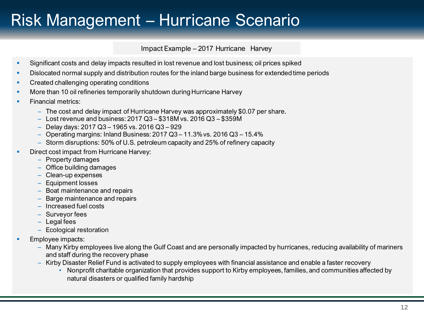Impact Example – 2017 Hurricane Harvey

- **•** Significant costs and delay impacts resulted in lost revenue and lost business; oil prices spiked
- Dislocated normal supply and distribution routes for the inland barge business for extended time periods
- **Created challenging operating conditions**
- More than 10 oil refineries temporarily shutdown during Hurricane Harvey
- **Financial metrics:** 
	- The cost and delay impact of Hurricane Harvey was approximately \$0.07 per share.
	- Lost revenue and business: 2017 Q3 \$318M vs. 2016 Q3 \$359M
	- Delay days: 2017 Q3 1965 vs. 2016 Q3 929
	- Operating margins: Inland Business: 2017 Q3 11.3% vs. 2016 Q3 15.4%
	- Storm disruptions: 50% of U.S. petroleum capacity and 25% of refinery capacity
- Direct cost impact from Hurricane Harvey:
	- Property damages
	- Office building damages
	- Clean-up expenses
	- Equipment losses
	- Boat maintenance and repairs
	- Barge maintenance and repairs
	- Increased fuel costs
	- Surveyor fees
	- Legal fees
	- Ecological restoration
- Employee impacts:
	- Many Kirby employees live along the Gulf Coast and are personally impacted by hurricanes, reducing availability of mariners and staff during the recovery phase
	- Kirby Disaster Relief Fund is activated to supply employees with financial assistance and enable a faster recovery
		- Nonprofit charitable organization that provides support to Kirby employees, families, and communities affected by natural disasters or qualified family hardship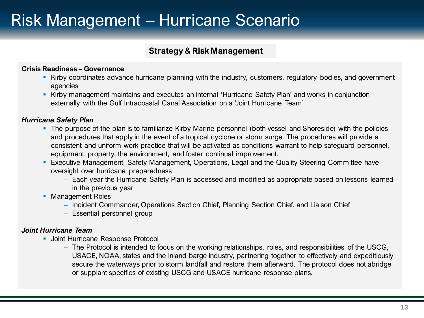### **Strategy & Risk Management**

### **Crisis Readiness – Governance**

- Kirby coordinates advance hurricane planning with the industry, customers, regulatory bodies, and government agencies
- **EXIT** Kirby management maintains and executes an internal 'Hurricane Safety Plan' and works in conjunction externally with the Gulf Intracoastal Canal Association on a 'Joint Hurricane Team'

### *Hurricane Safety Plan*

- The purpose of the plan is to familiarize Kirby Marine personnel (both vessel and Shoreside) with the policies and procedures that apply in the event of a tropical cyclone or storm surge. The procedures will provide a consistent and uniform work practice that will be activated as conditions warrant to help safeguard personnel, equipment, property, the environment, and foster continual improvement.
- **Executive Management, Safety Management, Operations, Legal and the Quality Steering Committee have** oversight over hurricane preparedness
	- Each year the Hurricane Safety Plan is accessed and modified as appropriate based on lessons learned in the previous year
- **Management Roles** 
	- Incident Commander, Operations Section Chief, Planning Section Chief, and Liaison Chief
	- Essential personnel group

### *Joint Hurricane Team*

- **Joint Hurricane Response Protocol** 
	- The Protocol is intended to focus on the working relationships, roles, and responsibilities of the USCG, USACE, NOAA, states and the inland barge industry, partnering together to effectively and expeditiously secure the waterways prior to storm landfall and restore them afterward. The protocol does not abridge or supplant specifics of existing USCG and USACE hurricane response plans.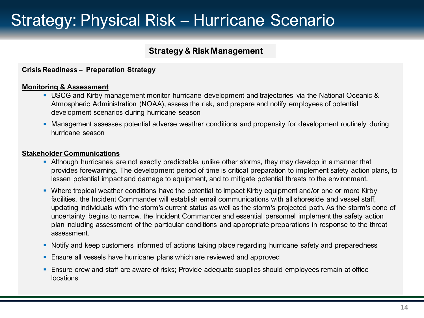## Strategy: Physical Risk – Hurricane Scenario

### **Strategy & Risk Management**

### **Crisis Readiness – Preparation Strategy**

#### **Monitoring & Assessment**

- USCG and Kirby management monitor hurricane development and trajectories via the National Oceanic & Atmospheric Administration (NOAA), assess the risk, and prepare and notify employees of potential development scenarios during hurricane season
- **Management assesses potential adverse weather conditions and propensity for development routinely during** hurricane season

#### **Stakeholder Communications**

- **EXT** Although hurricanes are not exactly predictable, unlike other storms, they may develop in a manner that provides forewarning. The development period of time is critical preparation to implement safety action plans, to lessen potential impact and damage to equipment, and to mitigate potential threats to the environment.
- Where tropical weather conditions have the potential to impact Kirby equipment and/or one or more Kirby facilities, the Incident Commander will establish email communications with all shoreside and vessel staff, updating individuals with the storm's current status as well as the storm's projected path. As the storm's cone of uncertainty begins to narrow, the Incident Commander and essential personnel implement the safety action plan including assessment of the particular conditions and appropriate preparations in response to the threat assessment.
- Notify and keep customers informed of actions taking place regarding hurricane safety and preparedness
- **E** Ensure all vessels have hurricane plans which are reviewed and approved
- **Ensure crew and staff are aware of risks; Provide adequate supplies should employees remain at office** locations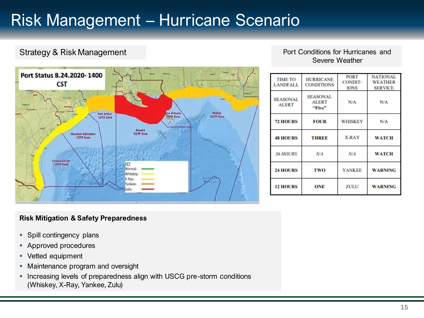### Strategy & Risk Management **Port Conditions for Hurricanes and**



### Severe Weather

| <b>TIME TO</b><br><b>LANDFALL</b> | <b>HURRICANE</b><br><b>CONDITIONS</b>     | <b>PORT</b><br><b>CONDIT-</b><br><b>IONS</b> | <b>NATIONAL</b><br><b>WEATHER</b><br><b>SERVICE</b> |
|-----------------------------------|-------------------------------------------|----------------------------------------------|-----------------------------------------------------|
| <b>SEASONAL</b><br><b>ALERT</b>   | <b>SEASONAL</b><br><b>ALERT</b><br>"Five" | N/A                                          | N/A                                                 |
| <b>72 HOURS</b>                   | <b>FOUR</b>                               | <b>WHISKEY</b>                               | N/A                                                 |
| <b>48 HOURS</b>                   | <b>THREE</b>                              | X-RAY                                        | <b>WATCH</b>                                        |
| <b>36 HOURS</b>                   | N/A                                       | N/A                                          | <b>WATCH</b>                                        |
| <b>24 HOURS</b>                   | <b>TWO</b>                                | <b>YANKEE</b>                                | <b>WARNING</b>                                      |
| <b>12 HOURS</b>                   | ONE                                       | ZULU                                         | <b>WARNING</b>                                      |

### **Risk Mitigation & Safety Preparedness**

- **Spill contingency plans**
- Approved procedures
- Vetted equipment
- **Maintenance program and oversight**
- **.** Increasing levels of preparedness align with USCG pre-storm conditions (Whiskey, X-Ray, Yankee, Zulu)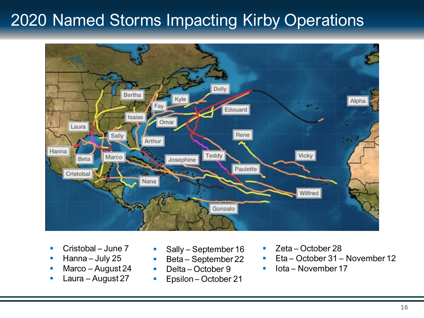# 2020 Named Storms Impacting Kirby Operations



- Cristobal June 7
- Hanna July 25
- Marco August 24
- Laura August 27
- Sally September 16
- Beta September 22
- Delta October 9
- Epsilon October 21
- Zeta October 28
- Eta October 31 November 12
- lota November 17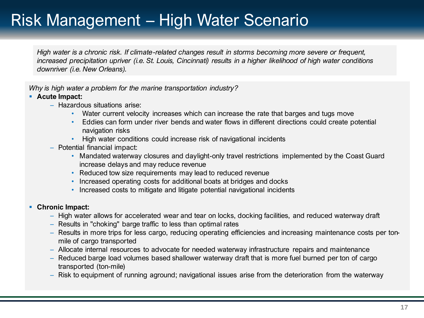# Risk Management – High Water Scenario

*High water is a chronic risk. If climate-related changes result in storms becoming more severe or frequent, increased precipitation upriver (i.e. St. Louis, Cincinnati) results in a higher likelihood of high water conditions downriver (i.e. New Orleans).* 

*Why is high water a problem for the marine transportation industry?*

### ▪ **Acute Impact:**

- Hazardous situations arise:
	- Water current velocity increases which can increase the rate that barges and tugs move
	- Eddies can form under river bends and water flows in different directions could create potential navigation risks
	- High water conditions could increase risk of navigational incidents
- Potential financial impact:
	- Mandated waterway closures and daylight-only travel restrictions implemented by the Coast Guard increase delays and may reduce revenue
	- Reduced tow size requirements may lead to reduced revenue
	- Increased operating costs for additional boats at bridges and docks
	- Increased costs to mitigate and litigate potential navigational incidents

### ▪ **Chronic Impact:**

- High water allows for accelerated wear and tear on locks, docking facilities, and reduced waterway draft
- Results in "choking" barge traffic to less than optimal rates
- Results in more trips for less cargo, reducing operating efficiencies and increasing maintenance costs per tonmile of cargo transported
- Allocate internal resources to advocate for needed waterway infrastructure repairs and maintenance
- Reduced barge load volumes based shallower waterway draft that is more fuel burned per ton of cargo transported (ton-mile)
- Risk to equipment of running aground; navigational issues arise from the deterioration from the waterway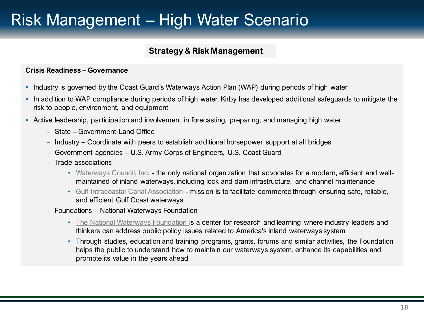# Risk Management – High Water Scenario

### **Strategy & Risk Management**

### **Crisis Readiness – Governance**

- **.** Industry is governed by the Coast Guard's Waterways Action Plan (WAP) during periods of high water
- **.** In addition to WAP compliance during periods of high water, Kirby has developed additional safeguards to mitigate the risk to people, environment, and equipment
- **EXT** Active leadership, participation and involvement in forecasting, preparing, and managing high water
	- State Government Land Office
	- Industry Coordinate with peers to establish additional horsepower support at all bridges
	- Government agencies U.S. Army Corps of Engineers, U.S. Coast Guard
	- Trade associations
		- [Waterways Council, Inc](https://waterwayscouncil.org/). the only national organization that advocates for a modern, efficient and wellmaintained of inland waterways, including lock and dam infrastructure, and channel maintenance
		- [Gulf Intracoastal Canal Association -](https://www.gicaonline.com/) mission is to facilitate commerce through ensuring safe, reliable, and efficient Gulf Coast waterways
	- Foundations National Waterways Foundation
		- [The National Waterways Foundation](http://www.nationalwaterwaysfoundation.org/) is a center for research and learning where industry leaders and thinkers can address public policy issues related to America's inland waterways system
		- Through studies, education and training programs, grants, forums and similar activities, the Foundation helps the public to understand how to maintain our waterways system, enhance its capabilities and promote its value in the years ahead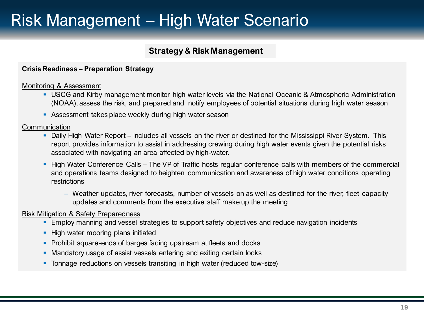# Risk Management – High Water Scenario

### **Strategy & Risk Management**

### **Crisis Readiness – Preparation Strategy**

### Monitoring & Assessment

- USCG and Kirby management monitor high water levels via the National Oceanic & Atmospheric Administration (NOAA), assess the risk, and prepared and notify employees of potential situations during high water season
- **EXECTS** Assessment takes place weekly during high water season

#### **Communication**

- Daily High Water Report includes all vessels on the river or destined for the Mississippi River System. This report provides information to assist in addressing crewing during high water events given the potential risks associated with navigating an area affected by high-water.
- **EXTER 19 High Water Conference Calls The VP of Traffic hosts regular conference calls with members of the commercial gotter 1** and operations teams designed to heighten communication and awareness of high water conditions operating restrictions
	- Weather updates, river forecasts, number of vessels on as well as destined for the river, fleet capacity updates and comments from the executive staff make up the meeting

### Risk Mitigation & Safety Preparedness

- **Employ manning and vessel strategies to support safety objectives and reduce navigation incidents**
- **E** High water mooring plans initiated
- **Prohibit square-ends of barges facing upstream at fleets and docks**
- Mandatory usage of assist vessels entering and exiting certain locks
- **Tonnage reductions on vessels transiting in high water (reduced tow-size)**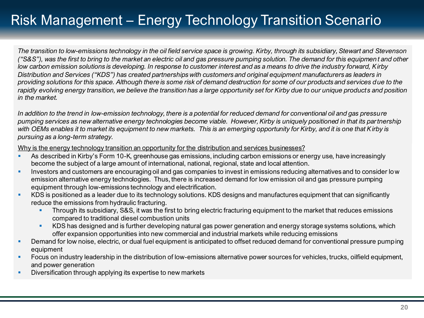*The transition to low-emissions technology in the oil field service space is growing. Kirby, through its subsidiary, Stewart and Stevenson ("S&S"), was the first to bring to the market an electric oil and gas pressure pumping solution. The demand for this equipmen t and other low carbon emission solutions is developing. In response to customer interest and as a means to drive the industry forward, Kirby Distribution and Services ("KDS") has created partnerships with customers and original equipment manufacturers as leaders in providing solutions for this space. Although there is some risk of demand destruction for some of our products and services due to the rapidly evolving energy transition, we believe the transition has a large opportunity set for Kirby due to our unique product s and position in the market.*

*In addition to the trend in low-emission technology, there is a potential for reduced demand for conventional oil and gas pressure pumping services as new alternative energy technologies become viable. However, Kirby is uniquely positioned in that its partnership with OEMs enables it to market its equipment to new markets. This is an emerging opportunity for Kirby, and it is one that Kirby is pursuing as a long-term strategy.* 

Why is the energy technology transition an opportunity for the distribution and services businesses?

- **EXPLED As described in Kirby's Form 10-K, greenhouse gas emissions, including carbon emissions or energy use, have increasingly** become the subject of a large amount of international, national, regional, state and local attention.
- **•** Investors and customers are encouraging oil and gas companies to invest in emissions reducing alternatives and to consider low emission alternative energy technologies. Thus, there is increased demand for low emission oil and gas pressure pumping equipment through low-emissions technology and electrification.
- KDS is positioned as a leader due to its technology solutions. KDS designs and manufactures equipment that can significantly reduce the emissions from hydraulic fracturing.
	- Through its subsidiary, S&S, it was the first to bring electric fracturing equipment to the market that reduces emissions compared to traditional diesel combustion units
	- KDS has designed and is further developing natural gas power generation and energy storage systems solutions, which offer expansion opportunities into new commercial and industrial markets while reducing emissions
- Demand for low noise, electric, or dual fuel equipment is anticipated to offset reduced demand for conventional pressure pumping equipment
- Focus on industry leadership in the distribution of low-emissions alternative power sources for vehicles, trucks, oilfield equipment, and power generation
- Diversification through applying its expertise to new markets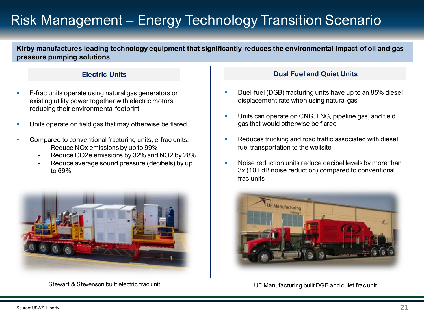**Kirby manufactures leading technology equipment that significantly reduces the environmental impact of oil and gas pressure pumping solutions**

### **Electric Units**

- E-frac units operate using natural gas generators or existing utility power together with electric motors, reducing their environmental footprint
- Units operate on field gas that may otherwise be flared
- Compared to conventional fracturing units, e-frac units:
	- Reduce NO<sub>x</sub> emissions by up to 99%
	- Reduce CO2e emissions by 32% and NO2 by 28%
	- Reduce average sound pressure (decibels) by up to 69%



### **Dual Fuel and Quiet Units**

- Duel-fuel (DGB) fracturing units have up to an 85% diesel displacement rate when using natural gas
- Units can operate on CNG, LNG, pipeline gas, and field gas that would otherwise be flared
- Reduces trucking and road traffic associated with diesel fuel transportation to the wellsite
- **EXECT** Noise reduction units reduce decibel levels by more than 3x (10+ dB noise reduction) compared to conventional frac units



Stewart & Stevenson built electric frac unit Company of the UE Manufacturing built DGB and quiet frac unit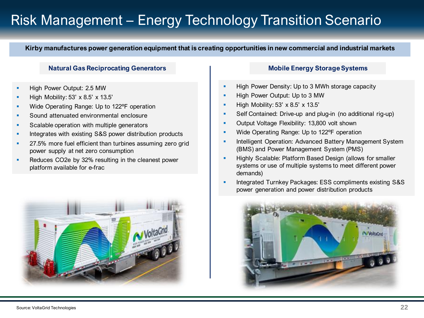**Kirby manufactures power generation equipment that is creating opportunities in new commercial and industrial markets**

#### **Natural Gas Reciprocating Generators**

- High Power Output: 2.5 MW
- High Mobility: 53' x 8.5' x 13.5'
- Wide Operating Range: Up to 122°F operation
- Sound attenuated environmental enclosure
- Scalable operation with multiple generators
- Integrates with existing S&S power distribution products
- 27.5% more fuel efficient than turbines assuming zero grid power supply at net zero consumption
- Reduces CO2e by 32% resulting in the cleanest power platform available for e-frac



#### **Mobile Energy Storage Systems**

- **E** High Power Density: Up to 3 MWh storage capacity
- **E** High Power Output: Up to 3 MW
- $\blacksquare$  High Mobility: 53' x 8.5' x 13.5'
- **•** Self Contained: Drive-up and plug-in (no additional rig-up)
- **Output Voltage Flexibility: 13,800 volt shown**
- **■** Wide Operating Range: Up to 122°F operation
- **EXEDENT** Intelligent Operation: Advanced Battery Management System (BMS) and Power Management System (PMS)
- **EXECT** Highly Scalable: Platform Based Design (allows for smaller systems or use of multiple systems to meet different power demands)
- **EXECUTE Integrated Turnkey Packages: ESS compliments existing S&S** power generation and power distribution products

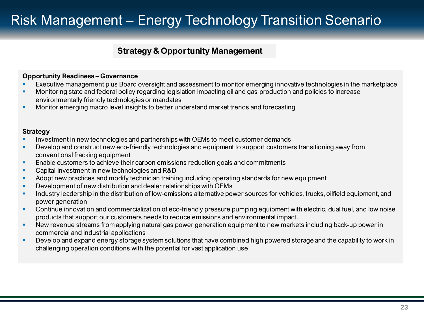### **Strategy & Opportunity Management**

#### **Opportunity Readiness – Governance**

- **EXECUTER 15 EXECUTER INCO EXECUTE IS EXECUTER** EXECUTER THE management of monitor emerging innovative technologies in the marketplace
- **■** Monitoring state and federal policy regarding legislation impacting oil and gas production and policies to increase environmentally friendly technologies or mandates
- **Monitor emerging macro level insights to better understand market trends and forecasting**

#### **Strategy**

- Investment in new technologies and partnerships with OEMs to meet customer demands
- **•** Develop and construct new eco-friendly technologies and equipment to support customers transitioning away from conventional fracking equipment
- **Enable customers to achieve their carbon emissions reduction goals and commitments**
- Capital investment in new technologies and R&D
- **Adopt new practices and modify technician training including operating standards for new equipment**
- **Development of new distribution and dealer relationships with OEMs**
- **•** Industry leadership in the distribution of low-emissions alternative power sources for vehicles, trucks, oilfield equipment, and power generation
- Continue innovation and commercialization of eco-friendly pressure pumping equipment with electric, dual fuel, and low noise products that support our customers needs to reduce emissions and environmental impact.
- New revenue streams from applying natural gas power generation equipment to new markets including back-up power in commercial and industrial applications
- Develop and expand energy storage system solutions that have combined high powered storage and the capability to work in challenging operation conditions with the potential for vast application use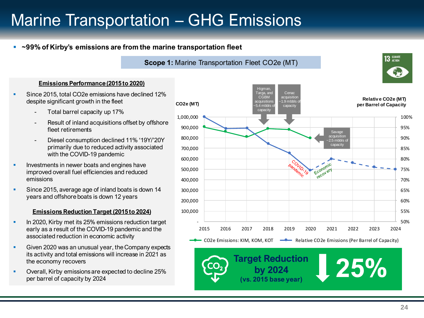# Marine Transportation – GHG Emissions

### ■ **~99% of Kirby's emissions are from the marine transportation fleet**

#### **Scope 1:** Marine Transportation Fleet CO2e (MT)

#### **Emissions Performance (2015 to 2020)**

- Since 2015, total CO2e emissions have declined 12% despite significant growth in the fleet
	- Total barrel capacity up 17%
	- Result of inland acquisitions offset by offshore fleet retirements
	- Diesel consumption declined 11% '19Y/'20Y primarily due to reduced activity associated with the COVID-19 pandemic
- Investments in newer boats and engines have improved overall fuel efficiencies and reduced emissions
- Since 2015, average age of inland boats is down 14 years and offshore boats is down 12 years

#### **Emissions Reduction Target (2015 to 2024)**

- **In 2020, Kirby met its 25% emissions reduction target** early as a result of the COVID-19 pandemic and the associated reduction in economic activity
- Given 2020 was an unusual year, the Company expects its activity and total emissions will increase in 2021 as the economy recovers
- Overall, Kirby emissions are expected to decline 25% per barrel of capacity by 2024



**13** CLIMATE